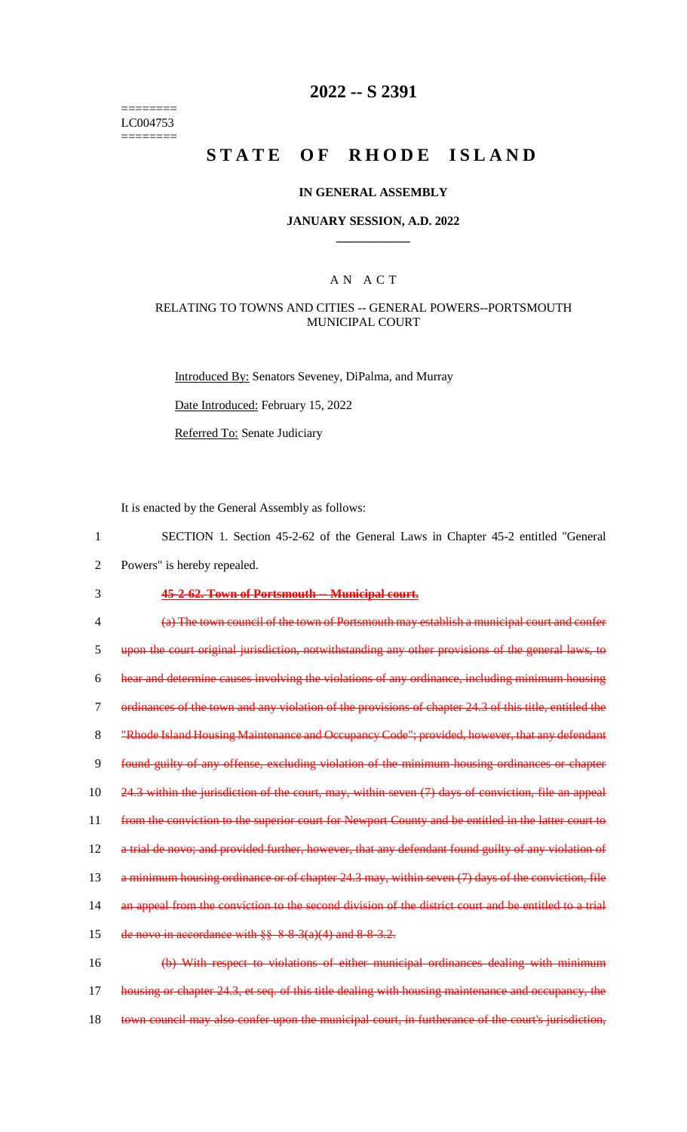======== LC004753 ========

## **2022 -- S 2391**

# **STATE OF RHODE ISLAND**

#### **IN GENERAL ASSEMBLY**

### **JANUARY SESSION, A.D. 2022 \_\_\_\_\_\_\_\_\_\_\_\_**

### A N A C T

### RELATING TO TOWNS AND CITIES -- GENERAL POWERS--PORTSMOUTH MUNICIPAL COURT

Introduced By: Senators Seveney, DiPalma, and Murray

Date Introduced: February 15, 2022

Referred To: Senate Judiciary

It is enacted by the General Assembly as follows:

- 1 SECTION 1. Section 45-2-62 of the General Laws in Chapter 45-2 entitled "General
- 2 Powers" is hereby repealed.

### 3 **45-2-62. Town of Portsmouth -- Municipal court.**

4 (a) The town council of the town of Portsmouth may establish a municipal court and confer 5 upon the court original jurisdiction, notwithstanding any other provisions of the general laws, to 6 hear and determine causes involving the violations of any ordinance, including minimum housing 7 ordinances of the town and any violation of the provisions of chapter 24.3 of this title, entitled the 8 "Rhode Island Housing Maintenance and Occupancy Code"; provided, however, that any defendant 9 found guilty of any offense, excluding violation of the minimum housing ordinances or chapter 10 24.3 within the jurisdiction of the court, may, within seven (7) days of conviction, file an appeal 11 from the conviction to the superior court for Newport County and be entitled in the latter court to 12 a trial de novo; and provided further, however, that any defendant found guilty of any violation of 13 a minimum housing ordinance or of chapter 24.3 may, within seven (7) days of the conviction, file 14 an appeal from the conviction to the second division of the district court and be entitled to a trial 15 de novo in accordance with  $\S$ § 8-8-3(a)(4) and 8-8-3.2. 16 (b) With respect to violations of either municipal ordinances dealing with minimum 17 housing or chapter 24.3, et seq. of this title dealing with housing maintenance and occupancy, the

- 
- 18 town council may also confer upon the municipal court, in furtherance of the court's jurisdiction,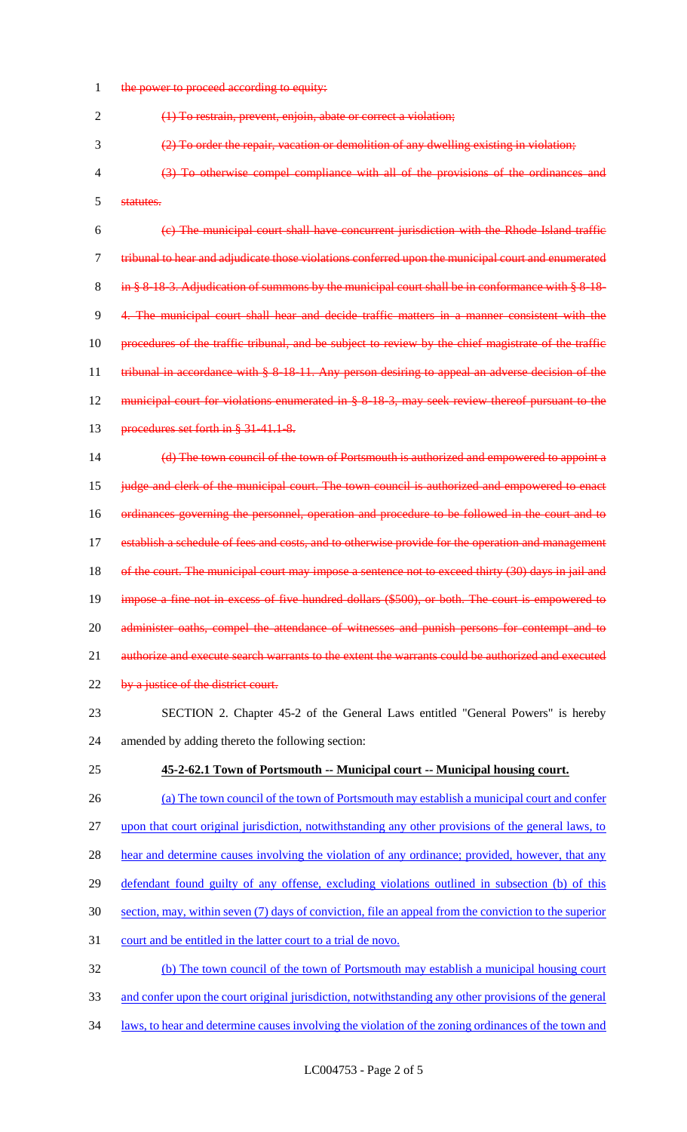1 the power to proceed according to equity:

(1) To restrain, prevent, enjoin, abate or correct a violation;

- (2) To order the repair, vacation or demolition of any dwelling existing in violation;
- (3) To otherwise compel compliance with all of the provisions of the ordinances and statutes.

 (c) The municipal court shall have concurrent jurisdiction with the Rhode Island traffic tribunal to hear and adjudicate those violations conferred upon the municipal court and enumerated 8 in § 8-18-3. Adjudication of summons by the municipal court shall be in conformance with § 8-18- 4. The municipal court shall hear and decide traffic matters in a manner consistent with the procedures of the traffic tribunal, and be subject to review by the chief magistrate of the traffic 11 tribunal in accordance with § 8-18-11. Any person desiring to appeal an adverse decision of the municipal court for violations enumerated in § 8-18-3, may seek review thereof pursuant to the 13 procedures set forth in § 31-41.1-8.

 (d) The town council of the town of Portsmouth is authorized and empowered to appoint a judge and clerk of the municipal court. The town council is authorized and empowered to enact ordinances governing the personnel, operation and procedure to be followed in the court and to 17 establish a schedule of fees and costs, and to otherwise provide for the operation and management 18 of the court. The municipal court may impose a sentence not to exceed thirty (30) days in jail and impose a fine not in excess of five hundred dollars (\$500), or both. The court is empowered to 20 administer oaths, compel the attendance of witnesses and punish persons for contempt and to 21 authorize and execute search warrants to the extent the warrants could be authorized and executed 22 by a justice of the district court.

- SECTION 2. Chapter 45-2 of the General Laws entitled "General Powers" is hereby amended by adding thereto the following section:
- **45-2-62.1 Town of Portsmouth -- Municipal court -- Municipal housing court.**
- (a) The town council of the town of Portsmouth may establish a municipal court and confer upon that court original jurisdiction, notwithstanding any other provisions of the general laws, to 28 hear and determine causes involving the violation of any ordinance; provided, however, that any defendant found guilty of any offense, excluding violations outlined in subsection (b) of this section, may, within seven (7) days of conviction, file an appeal from the conviction to the superior court and be entitled in the latter court to a trial de novo. (b) The town council of the town of Portsmouth may establish a municipal housing court and confer upon the court original jurisdiction, notwithstanding any other provisions of the general
- laws, to hear and determine causes involving the violation of the zoning ordinances of the town and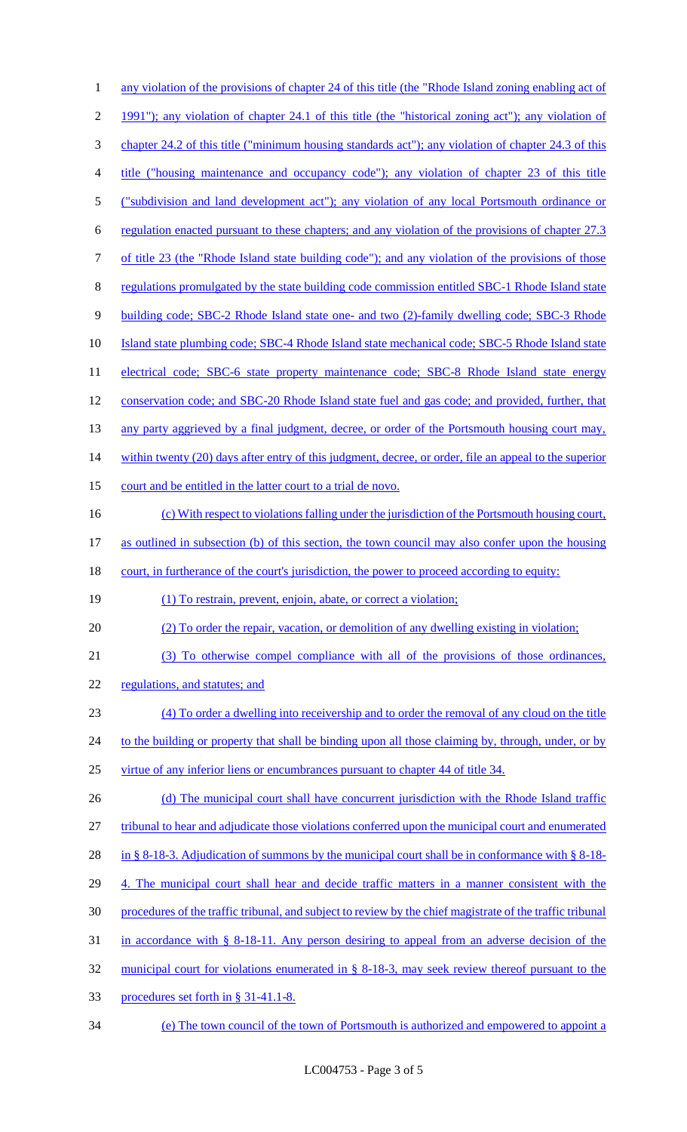| 1              | any violation of the provisions of chapter 24 of this title (the "Rhode Island zoning enabling act of     |
|----------------|-----------------------------------------------------------------------------------------------------------|
| $\overline{2}$ | 1991"); any violation of chapter 24.1 of this title (the "historical zoning act"); any violation of       |
| 3              | chapter 24.2 of this title ("minimum housing standards act"); any violation of chapter 24.3 of this       |
| 4              | title ("housing maintenance and occupancy code"); any violation of chapter 23 of this title               |
| 5              | ("subdivision and land development act"); any violation of any local Portsmouth ordinance or              |
| 6              | regulation enacted pursuant to these chapters; and any violation of the provisions of chapter 27.3        |
| 7              | of title 23 (the "Rhode Island state building code"); and any violation of the provisions of those        |
| 8              | regulations promulgated by the state building code commission entitled SBC-1 Rhode Island state           |
| 9              | building code; SBC-2 Rhode Island state one- and two (2)-family dwelling code; SBC-3 Rhode                |
| 10             | Island state plumbing code; SBC-4 Rhode Island state mechanical code; SBC-5 Rhode Island state            |
| 11             | electrical code; SBC-6 state property maintenance code; SBC-8 Rhode Island state energy                   |
| 12             | conservation code; and SBC-20 Rhode Island state fuel and gas code; and provided, further, that           |
| 13             | any party aggrieved by a final judgment, decree, or order of the Portsmouth housing court may,            |
| 14             | within twenty (20) days after entry of this judgment, decree, or order, file an appeal to the superior    |
| 15             | court and be entitled in the latter court to a trial de novo.                                             |
| 16             | (c) With respect to violations falling under the jurisdiction of the Portsmouth housing court,            |
| 17             | as outlined in subsection (b) of this section, the town council may also confer upon the housing          |
|                |                                                                                                           |
| 18             | court, in furtherance of the court's jurisdiction, the power to proceed according to equity:              |
| 19             | (1) To restrain, prevent, enjoin, abate, or correct a violation;                                          |
| 20             | (2) To order the repair, vacation, or demolition of any dwelling existing in violation;                   |
| 21             | (3) To otherwise compel compliance with all of the provisions of those ordinances,                        |
| 22             | regulations, and statutes; and                                                                            |
| 23             | (4) To order a dwelling into receivership and to order the removal of any cloud on the title              |
| 24             | to the building or property that shall be binding upon all those claiming by, through, under, or by       |
| 25             | virtue of any inferior liens or encumbrances pursuant to chapter 44 of title 34.                          |
| 26             | (d) The municipal court shall have concurrent jurisdiction with the Rhode Island traffic                  |
| 27             | tribunal to hear and adjudicate those violations conferred upon the municipal court and enumerated        |
| 28             | in § 8-18-3. Adjudication of summons by the municipal court shall be in conformance with § 8-18-          |
| 29             | 4. The municipal court shall hear and decide traffic matters in a manner consistent with the              |
| 30             | procedures of the traffic tribunal, and subject to review by the chief magistrate of the traffic tribunal |
| 31             | in accordance with $\S$ 8-18-11. Any person desiring to appeal from an adverse decision of the            |
| 32             | municipal court for violations enumerated in $\S$ 8-18-3, may seek review thereof pursuant to the         |
| 33             | procedures set forth in § 31-41.1-8.                                                                      |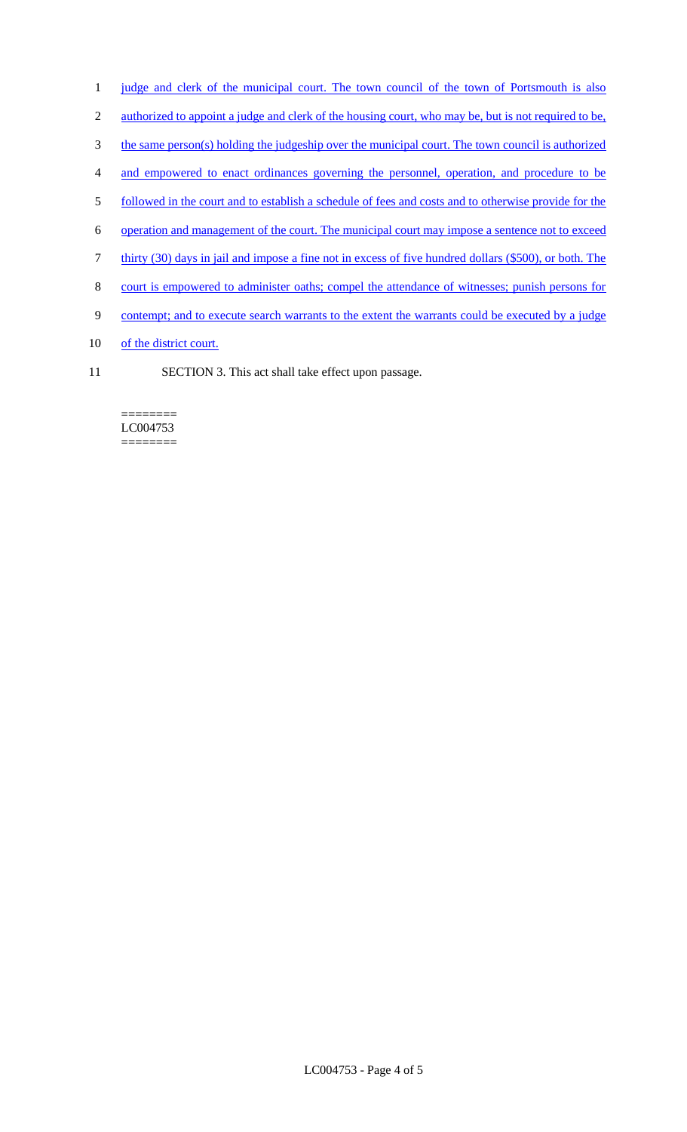- 1 judge and clerk of the municipal court. The town council of the town of Portsmouth is also
- 2 authorized to appoint a judge and clerk of the housing court, who may be, but is not required to be,
- 3 the same person(s) holding the judgeship over the municipal court. The town council is authorized
- 4 and empowered to enact ordinances governing the personnel, operation, and procedure to be
- 5 followed in the court and to establish a schedule of fees and costs and to otherwise provide for the
- 6 operation and management of the court. The municipal court may impose a sentence not to exceed
- 7 thirty (30) days in jail and impose a fine not in excess of five hundred dollars (\$500), or both. The
- 8 court is empowered to administer oaths; compel the attendance of witnesses; punish persons for
- 9 contempt; and to execute search warrants to the extent the warrants could be executed by a judge
- 10 of the district court.
- 11 SECTION 3. This act shall take effect upon passage.

#### ======== LC004753 ========